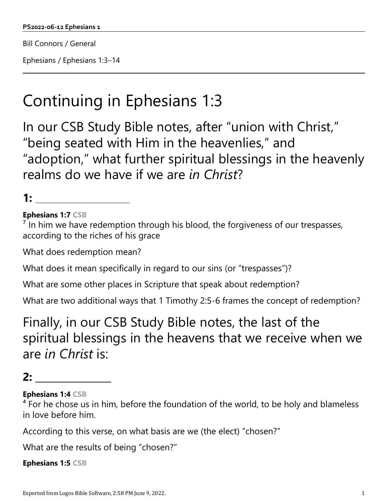Bill Connors / General

Ephesians / Ephesians 1:3–14

# Continuing in Ephesians 1:3

In our CSB Study Bible notes, after "union with Christ," "being seated with Him in the heavenlies," and "adoption," what further spiritual blessings in the heavenly realms do we have if we are *in Christ*?

## **1:**

#### **Ephesians 1:7 CSB**

 $<sup>7</sup>$  In him we have redemption through his blood, the forgiveness of our trespasses,</sup> according to the riches of his grace

What does redemption mean?

What does it mean specifically in regard to our sins (or "trespasses")?

What are some other places in Scripture that speak about redemption?

What are two additional ways that 1 Timothy 2:5-6 frames the concept of redemption?

Finally, in our CSB Study Bible notes, the last of the spiritual blessings in the heavens that we receive when we are *in Christ* is:

## **2:**

**Ephesians 1:4 CSB**

 $<sup>4</sup>$  For he chose us in him, before the foundation of the world, to be holy and blameless</sup> in love before him.

According to this verse, on what basis are we (the elect) "chosen?"

What are the results of being "chosen?"

**Ephesians 1:5 CSB**